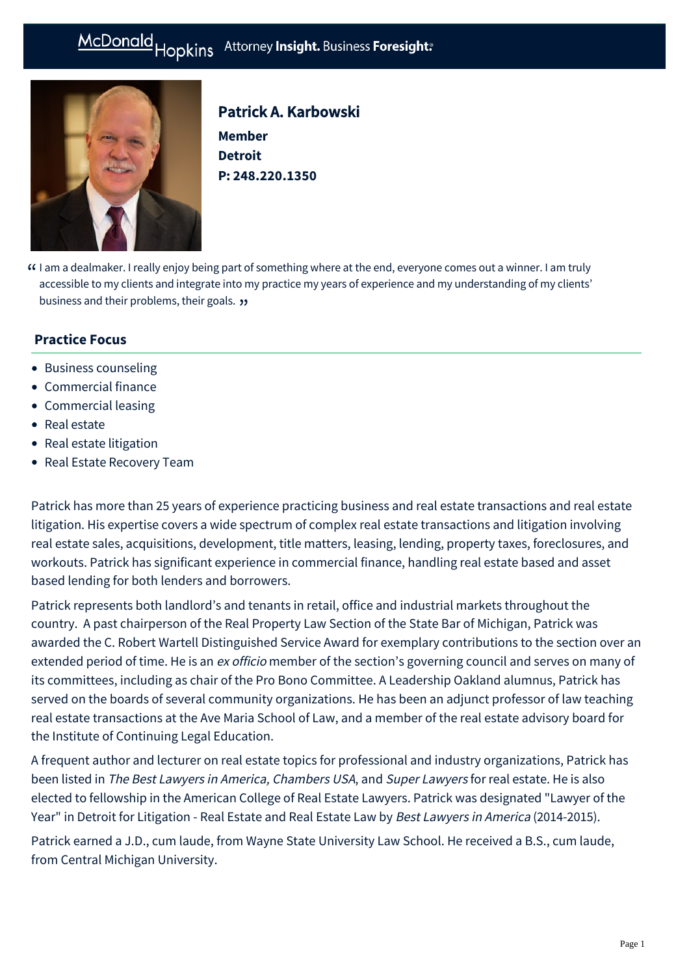# McDonald Hopkins Attorney Insight. Business Foresight:



# Patrick A. Karbowski

**Member Detroit P: [248.220.1350](tel:248.220.1350)**

I am a dealmaker. I really enjoy being part of something where at the end, everyone comes out a winner. I am truly " accessible to my clients and integrate into my practice my years of experience and my understanding of my clients' business and their problems, their goals. "

# **Practice Focus**

- [Business counseling](https://mcdonaldhopkins.com/Expertise/Business-counseling)
- [Commercial finance](https://mcdonaldhopkins.com/Expertise/Finance/Commercial-finance)
- [Commercial leasing](https://mcdonaldhopkins.com/Expertise/Real-estate/Commercial-leasing)
- [Real estate](https://mcdonaldhopkins.com/Expertise/Real-estate)
- [Real estate litigation](https://mcdonaldhopkins.com/Expertise/Real-estate/Real-estate-litigation)
- [Real Estate Recovery Team](https://mcdonaldhopkins.com/Expertise/Real-estate/Real-Estate-Recovery-Team)

Patrick has more than 25 years of experience practicing business and real estate transactions and real estate litigation. His expertise covers a wide spectrum of complex real estate transactions and litigation involving real estate sales, acquisitions, development, title matters, leasing, lending, property taxes, foreclosures, and workouts. Patrick has significant experience in commercial finance, handling real estate based and asset based lending for both lenders and borrowers.

Patrick represents both landlord's and tenants in retail, office and industrial markets throughout the country. A past chairperson of the Real Property Law Section of the State Bar of Michigan, Patrick was awarded the C. Robert Wartell Distinguished Service Award for exemplary contributions to the section over an extended period of time. He is an ex officio member of the section's governing council and serves on many of its committees, including as chair of the Pro Bono Committee. A Leadership Oakland alumnus, Patrick has served on the boards of several community organizations. He has been an adjunct professor of law teaching real estate transactions at the Ave Maria School of Law, and a member of the real estate advisory board for the Institute of Continuing Legal Education.

A frequent author and lecturer on real estate topics for professional and industry organizations, Patrick has been listed in The Best Lawyers in America, Chambers USA, and Super Lawyers for real estate. He is also elected to fellowship in the American College of Real Estate Lawyers. Patrick was designated "Lawyer of the Year" in Detroit for Litigation - Real Estate and Real Estate Law by Best Lawyers in America (2014-2015).

Patrick earned a J.D., cum laude, from Wayne State University Law School. He received a B.S., cum laude, from Central Michigan University.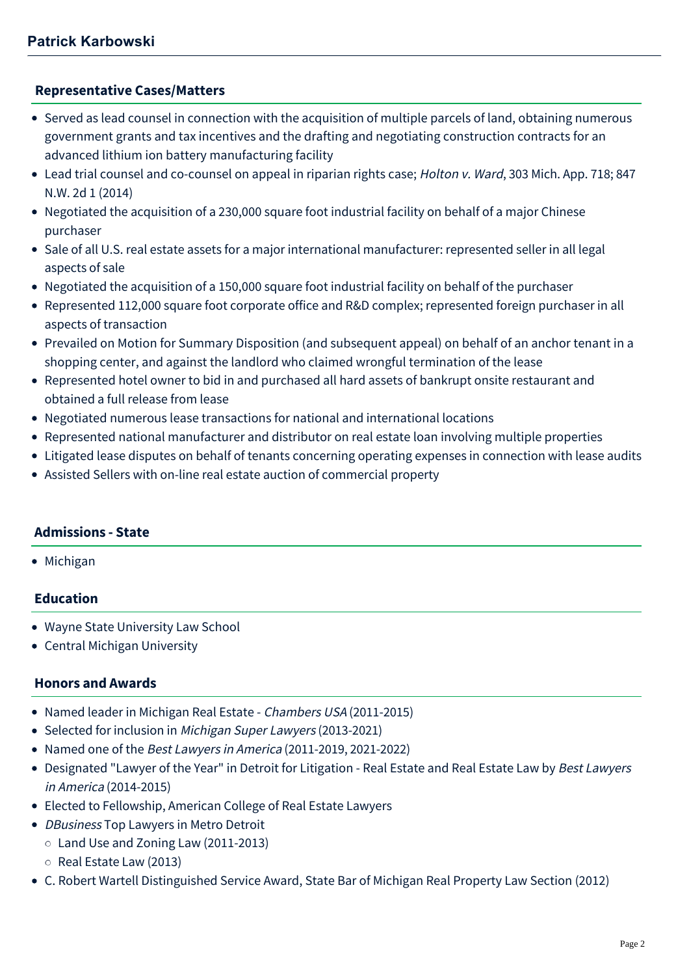#### **[Representative Cases/Matters](#page-1-0)**

- <span id="page-1-0"></span>Served as lead counsel in connection with the acquisition of multiple parcels of land, obtaining numerous government grants and tax incentives and the drafting and negotiating construction contracts for an advanced lithium ion battery manufacturing facility
- Lead trial counsel and co-counsel on appeal in riparian rights case; Holton v. Ward, 303 Mich. App. 718; 847 N.W. 2d 1 (2014)
- Negotiated the acquisition of a 230,000 square foot industrial facility on behalf of a major Chinese purchaser
- Sale of all U.S. real estate assets for a major international manufacturer: represented seller in all legal aspects of sale
- Negotiated the acquisition of a 150,000 square foot industrial facility on behalf of the purchaser
- Represented 112,000 square foot corporate office and R&D complex; represented foreign purchaser in all aspects of transaction
- Prevailed on Motion for Summary Disposition (and subsequent appeal) on behalf of an anchor tenant in a shopping center, and against the landlord who claimed wrongful termination of the lease
- Represented hotel owner to bid in and purchased all hard assets of bankrupt onsite restaurant and obtained a full release from lease
- Negotiated numerous lease transactions for national and international locations
- Represented national manufacturer and distributor on real estate loan involving multiple properties
- Litigated lease disputes on behalf of tenants concerning operating expenses in connection with lease audits
- Assisted Sellers with on-line real estate auction of commercial property

# **Admissions - State**

• Michigan

# **Education**

- Wayne State University Law School
- Central Michigan University

# **Honors and Awards**

- Named leader in Michigan Real Estate Chambers USA (2011-2015)
- Selected for inclusion in Michigan Super Lawyers (2013-2021)
- Named one of the Best Lawyers in America (2011-2019, 2021-2022)
- Designated "Lawyer of the Year" in Detroit for Litigation Real Estate and Real Estate Law by Best Lawyers in America (2014-2015)
- Elected to Fellowship, [American College of Real Estate Lawyers](http://www.acrel.org/DrawContacts.aspx?MemberID=1505&ContactID=14092&PageID=8)
- DBusiness Top Lawyers in Metro Detroit
	- Land Use and Zoning Law (2011-2013)
	- $\circ$  Real Estate Law (2013)
- C. Robert Wartell Distinguished Service Award, State Bar of Michigan Real Property Law Section (2012)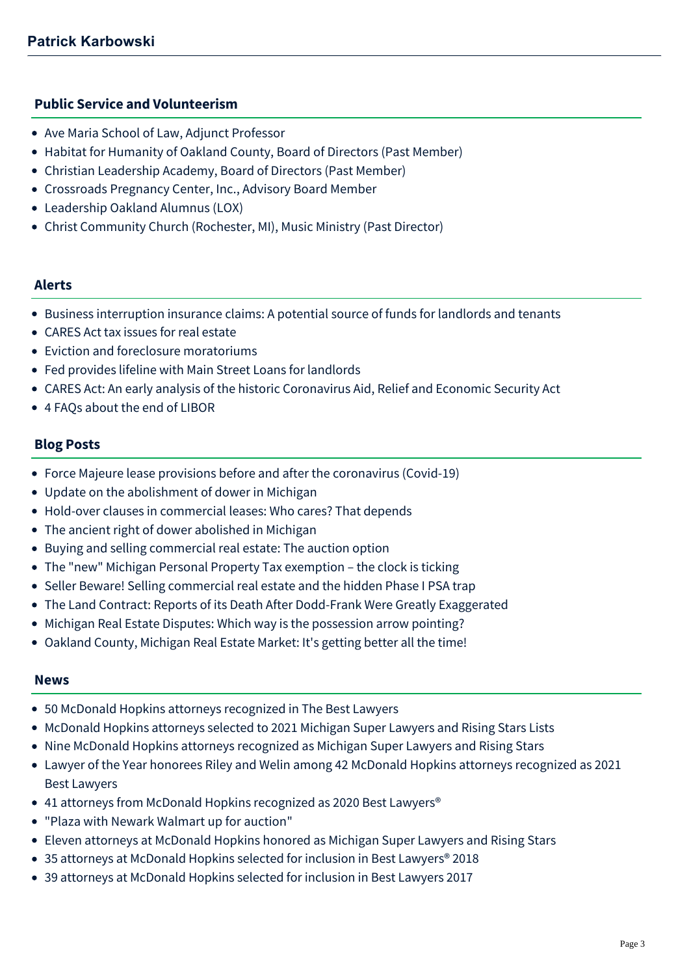#### **Public Service and Volunteerism**

- Ave Maria School of Law, Adjunct Professor
- Habitat for Humanity of Oakland County, Board of Directors (Past Member)
- Christian Leadership Academy, Board of Directors (Past Member)
- Crossroads Pregnancy Center, Inc., Advisory Board Member
- Leadership Oakland Alumnus (LOX)
- Christ Community Church (Rochester, MI), Music Ministry (Past Director)

#### **Alerts**

- [Business interruption insurance claims: A potential source of funds for landlords and tenants](https://mcdonaldhopkins.com/Insights/April-2020/Business-interruption-insurance-option-for-tenants)
- [CARES Act tax issues for real estate](https://mcdonaldhopkins.com/Insights/April-2020/CARES-Act-tax-issues-for-real-estate)
- [Eviction and foreclosure moratoriums](https://mcdonaldhopkins.com/Insights/April-2020/Eviction-and-foreclosure-moratoriums)
- [Fed provides lifeline with Main Street Loans for landlords](https://mcdonaldhopkins.com/Insights/April-2020/Fed-provides-lifeline-with-Main-Street-Loans-for-l)
- [CARES Act: An early analysis of the historic Coronavirus Aid, Relief and Economic Security Act](https://mcdonaldhopkins.com/Insights/March-2020/CARES-ACT-overview)
- [4 FAQs about the end of LIBOR](https://mcdonaldhopkins.com/Insights/October-2017/4-FAQs-about-the-end-of-LIBOR)

#### **Blog Posts**

- [Force Majeure lease provisions before and after the coronavirus \(Covid-19\)](https://mcdonaldhopkins.com/Insights/March-2020/Force-Majeure-lease-provisions-before-and-after-th)
- [Update on the abolishment of dower in Michigan](https://mcdonaldhopkins.com/Insights/August-2017/Update-on-the-abolishment-of-dower-in-Michigan)
- [Hold-over clauses in commercial leases: Who cares? That depends](https://mcdonaldhopkins.com/Insights/March-2017/Hold-over-clauses-in-commercial-leases-Who-cares-T)
- [The ancient right of dower abolished in Michigan](https://mcdonaldhopkins.com/Insights/January-2017/The-ancient-right-of-dower-abolished-in-Michigan)
- [Buying and selling commercial real estate: The auction option](https://mcdonaldhopkins.com/Insights/February-2016/Buying-and-selling-commercial-real-estate-The-auc)
- [The "new" Michigan Personal Property Tax exemption the clock is ticking](https://mcdonaldhopkins.com/Insights/November-2015/The-new-Michigan-Personal-Property-Tax-exemption)
- [Seller Beware! Selling commercial real estate and the hidden Phase I PSA trap](https://mcdonaldhopkins.com/Insights/October-2015/Seller-Beware!-Selling-commercial-real-estate-and)
- [The Land Contract: Reports of its Death After Dodd-Frank Were Greatly Exaggerated](https://mcdonaldhopkins.com/Insights/April-2015/The-Land-Contract-Reports-of-its-Death-After-Dodd)
- [Michigan Real Estate Disputes: Which way is the possession arrow pointing?](https://mcdonaldhopkins.com/Insights/Febrary-2015/Michigan-Real-Estate-Disputes-Which-way-is-the-po)
- [Oakland County, Michigan Real Estate Market: It's getting better all the time!](https://mcdonaldhopkins.com/Insights/Febrary-2015/Oakland-County,-Michigan-Real-Estate-Market-It-s)

#### **News**

- [50 McDonald Hopkins attorneys recognized in The Best Lawyers](https://mcdonaldhopkins.com/Insights/August-2021/50-McDonald-Hopkins-attorneys-recognized-in-The-Be)
- [McDonald Hopkins attorneys selected to 2021 Michigan Super Lawyers and Rising Stars Lists](https://mcdonaldhopkins.com/Insights/August-2021/McDonald-Hopkins-attorneys-selected-to-2021-Michig)
- [Nine McDonald Hopkins attorneys recognized as Michigan Super Lawyers and Rising Stars](https://mcdonaldhopkins.com/Insights/September-2020/Nine-McDonald-Hopkins-attorneys-recognized-as-Mich)
- [Lawyer of the Year honorees Riley and Welin among 42 McDonald Hopkins attorneys recognized as 2021](https://mcdonaldhopkins.com/Insights/August-2020/Lawyer-of-the-Year-honorees-Riley-and-Welin-among) Best Lawyers
- 41 attorneys from McDonald Hopkins recognized as 2020 Best Lawyers<sup>®</sup>
- ["Plaza with Newark Walmart up for auction"](https://mcdonaldhopkins.com/Insights/March-2018/Plaza-with-Newark-Walmart-up-for-auction)
- [Eleven attorneys at McDonald Hopkins honored as Michigan Super Lawyers and Rising Stars](https://mcdonaldhopkins.com/Insights/September-2017/Eleven-attorneys-at-McDonald-Hopkins-honored-a-(1))
- [35 attorneys at McDonald Hopkins selected for inclusion in Best Lawyers® 2018](https://mcdonaldhopkins.com/Insights/August-2017/35-attorneys-at-McDonald-Hopkins-selected-for-incl)
- [39 attorneys at McDonald Hopkins selected for inclusion in Best Lawyers 2017](https://mcdonaldhopkins.com/Insights/August-2016/39-attorneys-at-McDonald-Hopkins-selected-for-incl)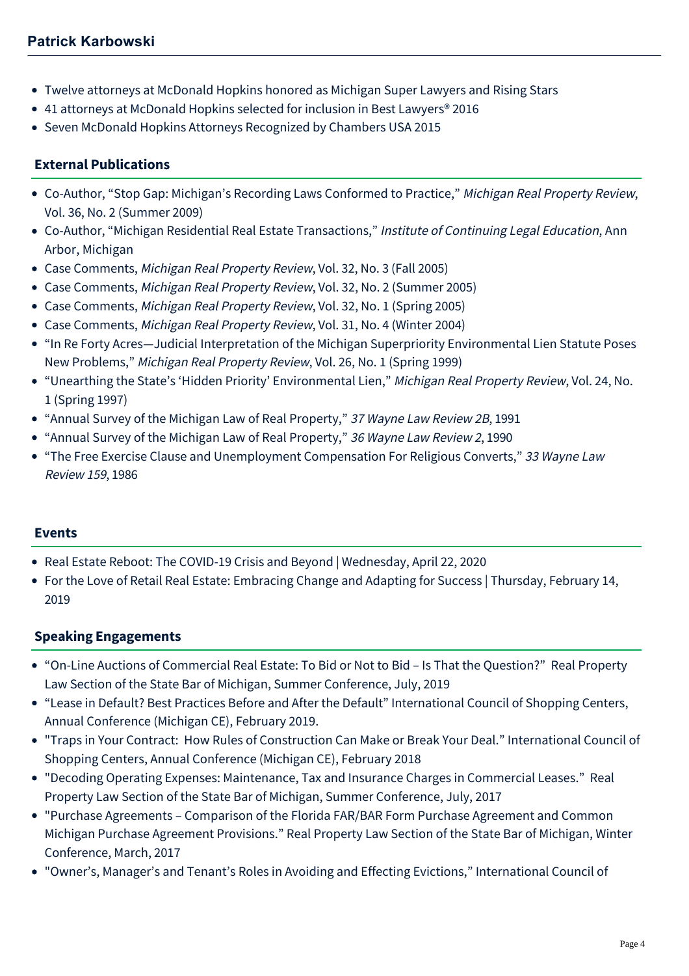- [Twelve attorneys at McDonald Hopkins honored as Michigan Super Lawyers and Rising Stars](https://mcdonaldhopkins.com/Insights/September-2015/Twelve-attorneys-at-McDonald-Hopkins-honored-as-Mi)
- [41 attorneys at McDonald Hopkins selected for inclusion in Best Lawyers® 2016](https://mcdonaldhopkins.com/Insights/August-2015/33-attorneys-at-McDonald-Hopkins-selected-for-incl)
- [Seven McDonald Hopkins Attorneys Recognized by Chambers USA 2015](https://mcdonaldhopkins.com/Insights/May-2015/Seven-McDonald-Hopkins-Attorneys-Recognized-by-Cha)

# **External Publications**

- Co-Author, "Stop Gap: Michigan's Recording Laws Conformed to Practice," Michigan Real Property Review, Vol. 36, No. 2 (Summer 2009)
- Co-Author, "Michigan Residential Real Estate Transactions," Institute of Continuing Legal Education, Ann Arbor, Michigan
- Case Comments, Michigan Real Property Review, Vol. 32, No. 3 (Fall 2005)
- Case Comments, Michigan Real Property Review, Vol. 32, No. 2 (Summer 2005)
- Case Comments, Michigan Real Property Review, Vol. 32, No. 1 (Spring 2005)
- Case Comments, Michigan Real Property Review, Vol. 31, No. 4 (Winter 2004)
- "In Re Forty Acres—Judicial Interpretation of the Michigan Superpriority Environmental Lien Statute Poses New Problems," Michigan Real Property Review, Vol. 26, No. 1 (Spring 1999)
- "Unearthing the State's 'Hidden Priority' Environmental Lien," Michigan Real Property Review, Vol. 24, No. 1 (Spring 1997)
- "Annual Survey of the Michigan Law of Real Property," 37 Wayne Law Review 2B, 1991
- "Annual Survey of the Michigan Law of Real Property," 36 Wayne Law Review 2, 1990
- "The Free Exercise Clause and Unemployment Compensation For Religious Converts," 33 Wayne Law Review 159, 1986

#### **Events**

- [Real Estate Reboot: The COVID-19 Crisis and Beyond | Wednesday, April 22, 2020](https://mcdonaldhopkins.com/Events/2020/Real-Estate-Reboot-The-COVID-19-Crisis-and-Beyond)
- [For the Love of Retail Real Estate: Embracing Change and Adapting for Success | Thursday, February 14,](https://mcdonaldhopkins.com/Events/2019/For-the-Love-of-Retail-Real-Estate-Embracing-Chang) 2019

#### **Speaking Engagements**

- "[On-Line Auctions of Commercial Real Estate: To Bid or Not to Bid Is That the Question](https://www.youtube.com/watch?v=n4LKlNILzcQ&list=PLjxOTw6HpF02zRsUuF2rmTnhvZ2CdTyCj&index=2&t=0s)?" Real Property Law Section of the State Bar of Michigan, Summer Conference, July, 2019
- "Lease in Default? Best Practices Before and After the Default" International Council of Shopping Centers, Annual Conference (Michigan CE), February 2019.
- "Traps in Your Contract: How Rules of Construction Can Make or Break Your Deal." International Council of Shopping Centers, Annual Conference (Michigan CE), February 2018
- "Decoding Operating Expenses: Maintenance, Tax and Insurance Charges in Commercial Leases." Real Property Law Section of the State Bar of Michigan, Summer Conference, July, 2017
- "Purchase Agreements Comparison of the Florida FAR/BAR Form Purchase Agreement and Common Michigan Purchase Agreement Provisions." Real Property Law Section of the State Bar of Michigan, Winter Conference, March, 2017
- "Owner's, Manager's and Tenant's Roles in Avoiding and Effecting Evictions," International Council of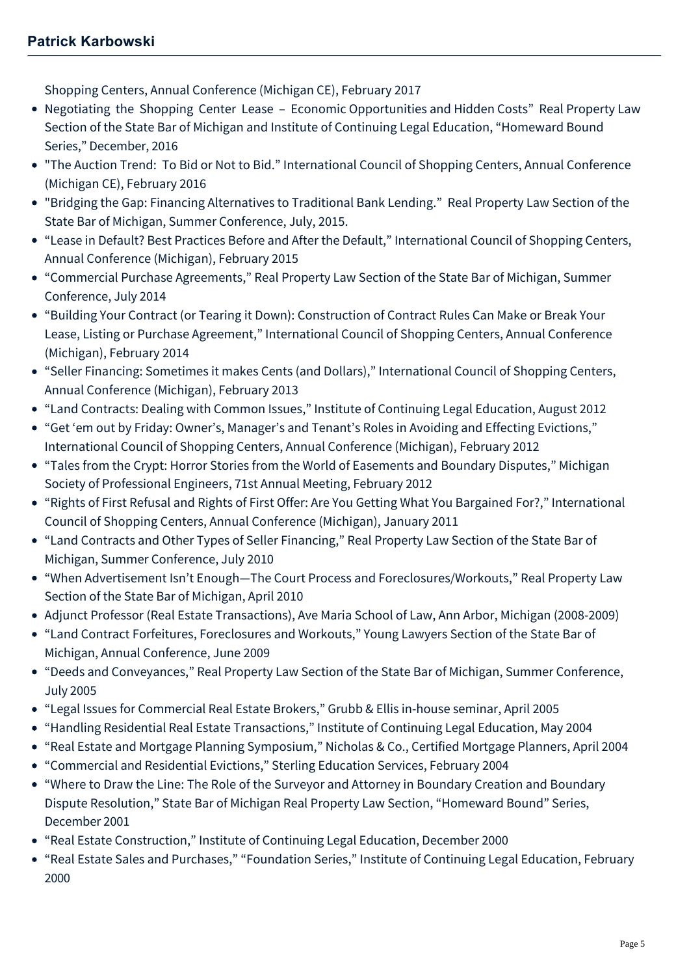Shopping Centers, Annual Conference (Michigan CE), February 2017

- Negotiating the Shopping Center Lease Economic Opportunities and Hidden Costs" Real Property Law Section of the State Bar of Michigan and Institute of Continuing Legal Education, "Homeward Bound Series," December, 2016
- "The Auction Trend: To Bid or Not to Bid." International Council of Shopping Centers, Annual Conference (Michigan CE), February 2016
- "Bridging the Gap: Financing Alternatives to Traditional Bank Lending." Real Property Law Section of the State Bar of Michigan, Summer Conference, July, 2015.
- "Lease in Default? Best Practices Before and After the Default," International Council of Shopping Centers, Annual Conference (Michigan), February 2015
- "Commercial Purchase Agreements," Real Property Law Section of the State Bar of Michigan, Summer Conference, July 2014
- "Building Your Contract (or Tearing it Down): Construction of Contract Rules Can Make or Break Your Lease, Listing or Purchase Agreement," International Council of Shopping Centers, Annual Conference (Michigan), February 2014
- "Seller Financing: Sometimes it makes Cents (and Dollars)," International Council of Shopping Centers, Annual Conference (Michigan), February 2013
- "Land Contracts: Dealing with Common Issues," Institute of Continuing Legal Education, August 2012
- "Get 'em out by Friday: Owner's, Manager's and Tenant's Roles in Avoiding and Effecting Evictions," International Council of Shopping Centers, Annual Conference (Michigan), February 2012
- "Tales from the Crypt: Horror Stories from the World of Easements and Boundary Disputes," Michigan Society of Professional Engineers, 71st Annual Meeting, February 2012
- "Rights of First Refusal and Rights of First Offer: Are You Getting What You Bargained For?," International Council of Shopping Centers, Annual Conference (Michigan), January 2011
- "Land Contracts and Other Types of Seller Financing," Real Property Law Section of the State Bar of Michigan, Summer Conference, July 2010
- "When Advertisement Isn't Enough—The Court Process and Foreclosures/Workouts," Real Property Law Section of the State Bar of Michigan, April 2010
- Adjunct Professor (Real Estate Transactions), Ave Maria School of Law, Ann Arbor, Michigan (2008-2009)
- "Land Contract Forfeitures, Foreclosures and Workouts," Young Lawyers Section of the State Bar of Michigan, Annual Conference, June 2009
- "Deeds and Conveyances," Real Property Law Section of the State Bar of Michigan, Summer Conference, July 2005
- "Legal Issues for Commercial Real Estate Brokers," Grubb & Ellis in-house seminar, April 2005
- "Handling Residential Real Estate Transactions," Institute of Continuing Legal Education, May 2004
- "Real Estate and Mortgage Planning Symposium," Nicholas & Co., Certified Mortgage Planners, April 2004
- "Commercial and Residential Evictions," Sterling Education Services, February 2004
- "Where to Draw the Line: The Role of the Surveyor and Attorney in Boundary Creation and Boundary Dispute Resolution," State Bar of Michigan Real Property Law Section, "Homeward Bound" Series, December 2001
- "Real Estate Construction," Institute of Continuing Legal Education, December 2000
- "Real Estate Sales and Purchases," "Foundation Series," Institute of Continuing Legal Education, February 2000